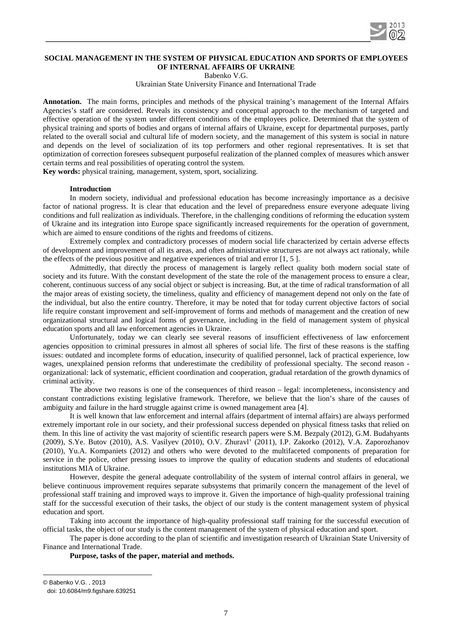

# **SOCIAL MANAGEMENT IN THE SYSTEM OF PHYSICAL EDUCATION AND SPORTS OF EMPLOYEES OF INTERNAL AFFAIRS OF UKRAINE**

Babenko V.G.

Ukrainian State University Finance and International Trade

**Annotation.** The main forms, principles and methods of the physical training's management of the Internal Affairs Agencies's staff are considered. Reveals its consistency and conceptual approach to the mechanism of targeted and effective operation of the system under different conditions of the employees police. Determined that the system of physical training and sports of bodies and organs of internal affairs of Ukraine, except for departmental purposes, partly related to the overall social and cultural life of modern society, and the management of this system is social in nature and depends on the level of socialization of its top performers and other regional representatives. It is set that optimization of correction foresees subsequent purposeful realization of the planned complex of measures which answer certain terms and real possibilities of operating control the system.

**Key words:** physical training, management, system, sport, socializing.

#### **Introduction**

In modern society, individual and professional education has become increasingly importance as a decisive factor of national progress. It is clear that education and the level of preparedness ensure everyone adequate living conditions and full realization as individuals. Therefore, in the challenging conditions of reforming the education system of Ukraine and its integration into Europe space significantly increased requirements for the operation of government, which are aimed to ensure conditions of the rights and freedoms of citizens.

Extremely complex and contradictory processes of modern social life characterized by certain adverse effects of development and improvement of all its areas, and often administrative structures are not always act rationaly, while the effects of the previous positive and negative experiences of trial and error [1, 5 ].

Admittedly, that directly the process of management is largely reflect quality both modern social state of society and its future. With the constant development of the state the role of the management process to ensure a clear, coherent, continuous success of any social object or subject is increasing. But, at the time of radical transformation of all the major areas of existing society, the timeliness, quality and efficiency of management depend not only on the fate of the individual, but also the entire country. Therefore, it may be noted that for today current objective factors of social life require constant improvement and self-improvement of forms and methods of management and the creation of new organizational structural and logical forms of governance, including in the field of management system of physical education sports and all law enforcement agencies in Ukraine.

Unfortunately, today we can clearly see several reasons of insufficient effectiveness of law enforcement agencies opposition to criminal pressures in almost all spheres of social life. The first of these reasons is the staffing issues: outdated and incomplete forms of education, insecurity of qualified personnel, lack of practical experience, low wages, unexplained pension reforms that underestimate the credibility of professional specialty. The second reason organizational: lack of systematic, efficient coordination and cooperation, gradual retardation of the growth dynamics of criminal activity.

The above two reasons is one of the consequences of third reason – legal: incompleteness, inconsistency and constant contradictions existing legislative framework. Therefore, we believe that the lion's share of the causes of ambiguity and failure in the hard struggle against crime is owned management area [4].

It is well known that law enforcement and internal affairs (department of internal affairs) are always performed extremely important role in our society, and their professional success depended on physical fitness tasks that relied on them. In this line of activity the vast majority of scientific research papers were S.M. Bezpaly (2012), G.M. Budahyants (2009), S.Ye. Butov (2010), A.S. Vasilyev (2010), O.V. Zhuravl' (2011), I.P. Zakorko (2012), V.A. Zaporozhanov (2010), Yu.A. Kompaniets (2012) and others who were devoted to the multifaceted components of preparation for service in the police, other pressing issues to improve the quality of education students and students of educational institutions MIA of Ukraine.

However, despite the general adequate controllability of the system of internal control affairs in general, we believe continuous improvement requires separate subsystems that primarily concern the management of the level of professional staff training and improved ways to improve it. Given the importance of high-quality professional training staff for the successful execution of their tasks, the object of our study is the content management system of physical education and sport.

Taking into account the importance of high-quality professional staff training for the successful execution of official tasks, the object of our study is the content management of the system of physical education and sport.

The paper is done according to the plan of scientific and investigation research of Ukrainian State University of Finance and International Trade.

## **Purpose, tasks of the paper, material and methods.**

<span id="page-0-0"></span>© Babenko V.G. , 2013

-

doi: 10.6084/m9.figshare.639251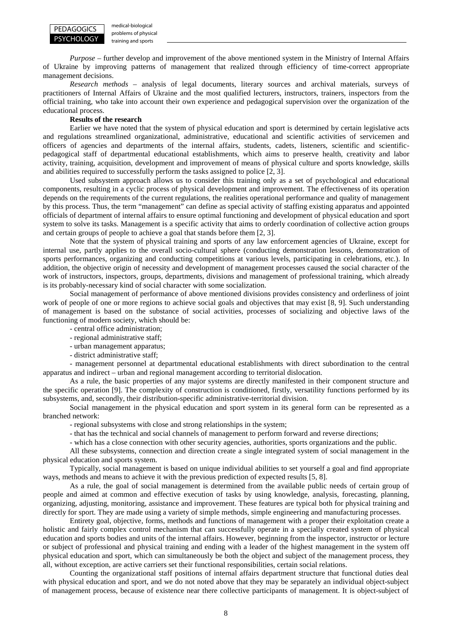

medical-biological problems of physical training and sports

*Purpose* – further develop and improvement of the above mentioned system in the Ministry of Internal Affairs of Ukraine by improving patterns of management that realized through efficiency of time-correct appropriate management decisions.

*Research methods* – analysis of legal documents, literary sources and archival materials, surveys of practitioners of Internal Affairs of Ukraine and the most qualified lecturers, instructors, trainers, inspectors from the official training, who take into account their own experience and pedagogical supervision over the organization of the educational process.

#### **Results of the research**

Earlier we have noted that the system of physical education and sport is determined by certain legislative acts and regulations streamlined organizational, administrative, educational and scientific activities of servicemen and officers of agencies and departments of the internal affairs, students, cadets, listeners, scientific and scientificpedagogical staff of departmental educational establishments, which aims to preserve health, creativity and labor activity, training, acquisition, development and improvement of means of physical culture and sports knowledge, skills and abilities required to successfully perform the tasks assigned to police [2, 3].

Used subsystem approach allows us to consider this training only as a set of psychological and educational components, resulting in a cyclic process of physical development and improvement. The effectiveness of its operation depends on the requirements of the current regulations, the realities operational performance and quality of management by this process. Thus, the term "management" can define as special activity of staffing existing apparatus and appointed officials of department of internal affairs to ensure optimal functioning and development of physical education and sport system to solve its tasks. Management is a specific activity that aims to orderly coordination of collective action groups and certain groups of people to achieve a goal that stands before them [2, 3].

Note that the system of physical training and sports of any law enforcement agencies of Ukraine, except for internal use, partly applies to the overall socio-cultural sphere (conducting demonstration lessons, demonstration of sports performances, organizing and conducting competitions at various levels, participating in celebrations, etc.). In addition, the objective origin of necessity and development of management processes caused the social character of the work of instructors, inspectors, groups, departments, divisions and management of professional training, which already is its probably-necessary kind of social character with some socialization.

Social management of performance of above mentioned divisions provides consistency and orderliness of joint work of people of one or more regions to achieve social goals and objectives that may exist [8, 9]. Such understanding of management is based on the substance of social activities, processes of socializing and objective laws of the functioning of modern society, which should be:

- central office administration;
- regional administrative staff;
- urban management apparatus;
- district administrative staff;

- management personnel at departmental educational establishments with direct subordination to the central apparatus and indirect – urban and regional management according to territorial dislocation.

As a rule, the basic properties of any major systems are directly manifested in their component structure and the specific operation [9]. The complexity of construction is conditioned, firstly, versatility functions performed by its subsystems, and, secondly, their distribution-specific administrative-territorial division.

Social management in the physical education and sport system in its general form can be represented as a branched network:

- regional subsystems with close and strong relationships in the system;

- that has the technical and social channels of management to perform forward and reverse directions;

- which has a close connection with other security agencies, authorities, sports organizations and the public.

All these subsystems, connection and direction create a single integrated system of social management in the physical education and sports system.

Typically, social management is based on unique individual abilities to set yourself a goal and find appropriate ways, methods and means to achieve it with the previous prediction of expected results [5, 8].

As a rule, the goal of social management is determined from the available public needs of certain group of people and aimed at common and effective execution of tasks by using knowledge, analysis, forecasting, planning, organizing, adjusting, monitoring, assistance and improvement. These features are typical both for physical training and directly for sport. They are made using a variety of simple methods, simple engineering and manufacturing processes.

Entirety goal, objective, forms, methods and functions of management with a proper their exploitation create a holistic and fairly complex control mechanism that can successfully operate in a specially created system of physical education and sports bodies and units of the internal affairs. However, beginning from the inspector, instructor or lecture or subject of professional and physical training and ending with a leader of the highest management in the system off physical education and sport, which can simultaneously be both the object and subject of the management process, they all, without exception, are active carriers set their functional responsibilities, certain social relations.

Counting the organizational staff positions of internal affairs department structure that functional duties deal with physical education and sport, and we do not noted above that they may be separately an individual object-subject of management process, because of existence near there collective participants of management. It is object-subject of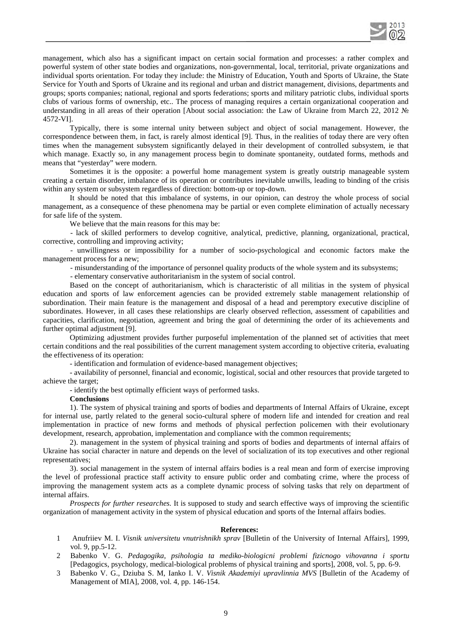

management, which also has a significant impact on certain social formation and processes: a rather complex and powerful system of other state bodies and organizations, non-governmental, local, territorial, private organizations and individual sports orientation. For today they include: the Ministry of Education, Youth and Sports of Ukraine, the State Service for Youth and Sports of Ukraine and its regional and urban and district management, divisions, departments and groups; sports companies; national, regional and sports federations; sports and military patriotic clubs, individual sports clubs of various forms of ownership, etc.. The process of managing requires a certain organizational cooperation and understanding in all areas of their operation [About social association: the Law of Ukraine from March 22, 2012 № 4572-VI].

Typically, there is some internal unity between subject and object of social management. However, the correspondence between them, in fact, is rarely almost identical [9]. Thus, in the realities of today there are very often times when the management subsystem significantly delayed in their development of controlled subsystem, ie that which manage. Exactly so, in any management process begin to dominate spontaneity, outdated forms, methods and means that "yesterday" were modern.

Sometimes it is the opposite: a powerful home management system is greatly outstrip manageable system creating a certain disorder, imbalance of its operation or contributes inevitable unwills, leading to binding of the crisis within any system or subsystem regardless of direction: bottom-up or top-down.

It should be noted that this imbalance of systems, in our opinion, can destroy the whole process of social management, as a consequence of these phenomena may be partial or even complete elimination of actually necessary for safe life of the system.

We believe that the main reasons for this may be:

- lack of skilled performers to develop cognitive, analytical, predictive, planning, organizational, practical, corrective, controlling and improving activity;

- unwillingness or impossibility for a number of socio-psychological and economic factors make the management process for a new;

- misunderstanding of the importance of personnel quality products of the whole system and its subsystems;

- elementary conservative authoritarianism in the system of social control.

Based on the concept of authoritarianism, which is characteristic of all militias in the system of physical education and sports of law enforcement agencies can be provided extremely stable management relationship of subordination. Their main feature is the management and disposal of a head and peremptory executive discipline of subordinates. However, in all cases these relationships are clearly observed reflection, assessment of capabilities and capacities, clarification, negotiation, agreement and bring the goal of determining the order of its achievements and further optimal adjustment [9].

Optimizing adjustment provides further purposeful implementation of the planned set of activities that meet certain conditions and the real possibilities of the current management system according to objective criteria, evaluating the effectiveness of its operation:

- identification and formulation of evidence-based management objectives;

- availability of personnel, financial and economic, logistical, social and other resources that provide targeted to achieve the target;

- identify the best optimally efficient ways of performed tasks.

**Conclusions**

1). The system of physical training and sports of bodies and departments of Internal Affairs of Ukraine, except for internal use, partly related to the general socio-cultural sphere of modern life and intended for creation and real implementation in practice of new forms and methods of physical perfection policemen with their evolutionary development, research, approbation, implementation and compliance with the common requirements;

2). management in the system of physical training and sports of bodies and departments of internal affairs of Ukraine has social character in nature and depends on the level of socialization of its top executives and other regional representatives;

3). social management in the system of internal affairs bodies is a real mean and form of exercise improving the level of professional practice staff activity to ensure public order and combating crime, where the process of improving the management system acts as a complete dynamic process of solving tasks that rely on department of internal affairs.

*Prospects for further researches.* It is supposed to study and search effective ways of improving the scientific organization of management activity in the system of physical education and sports of the Internal affairs bodies.

### **References:**

- 1 Anufriiev M. I. *Visnik universitetu vnutrishnikh sprav* [Bulletin of the University of Internal Affairs], 1999, vol. 9, pp.5-12.
- 2 Babenko V. G. *Pedagogika, psihologia ta mediko-biologicni problemi fizicnogo vihovanna i sportu* [Pedagogics, psychology, medical-biological problems of physical training and sports], 2008, vol. 5, pp. 6-9.
- 3 Babenko V. G., Dziuba S. M, Ianko I. V. *Visnik Akademiyi upravlinnia MVS* [Bulletin of the Academy of Management of MIA], 2008, vol. 4, pp. 146-154.